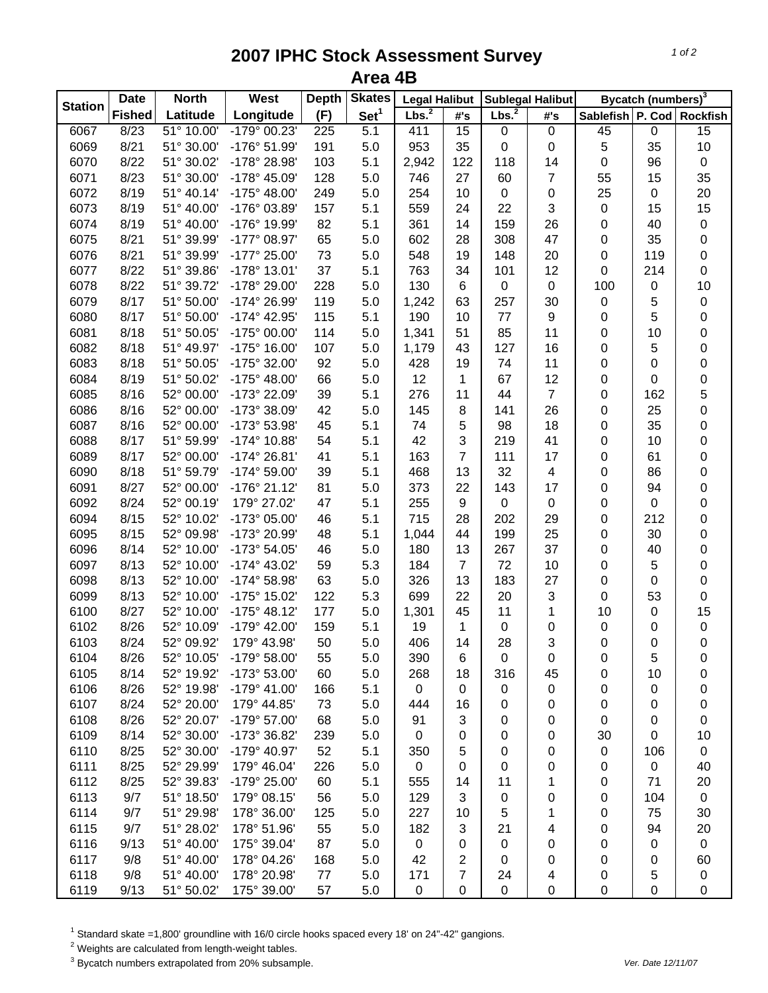## **2007 IPHC Stock Assessment Survey Area 4B**

| <b>Station</b> | <b>Date</b>   | <b>North</b> | West                  | <b>Depth</b> | <b>Skates</b>    | <b>Legal Halibut</b> |                | <b>Sublegal Halibut</b> |                | Bycatch (numbers) <sup>3</sup> |             |                  |
|----------------|---------------|--------------|-----------------------|--------------|------------------|----------------------|----------------|-------------------------|----------------|--------------------------------|-------------|------------------|
|                | <b>Fished</b> | Latitude     | Longitude             | (F)          | Set <sup>1</sup> | Lbs. <sup>2</sup>    | #'s            | Lbs. $^2$               | #'s            | Sablefish P. Cod Rockfish      |             |                  |
| 6067           | 8/23          | 51° 10.00    | $-179°00.23'$         | 225          | 5.1              | 411                  | 15             | $\pmb{0}$               | $\mathsf 0$    | 45                             | $\pmb{0}$   | 15               |
| 6069           | 8/21          | 51° 30.00'   | -176° 51.99'          | 191          | 5.0              | 953                  | 35             | 0                       | 0              | 5                              | 35          | 10               |
| 6070           | 8/22          | 51° 30.02'   | -178° 28.98'          | 103          | 5.1              | 2,942                | 122            | 118                     | 14             | 0                              | 96          | $\pmb{0}$        |
| 6071           | 8/23          | 51° 30.00'   | -178° 45.09'          | 128          | 5.0              | 746                  | 27             | 60                      | 7              | 55                             | 15          | 35               |
| 6072           | 8/19          | 51° 40.14'   | $-175^{\circ}$ 48.00' | 249          | 5.0              | 254                  | 10             | $\pmb{0}$               | 0              | 25                             | $\pmb{0}$   | 20               |
| 6073           | 8/19          | 51° 40.00'   | -176° 03.89'          | 157          | 5.1              | 559                  | 24             | 22                      | 3              | 0                              | 15          | 15               |
| 6074           | 8/19          | 51° 40.00'   | -176° 19.99'          | 82           | 5.1              | 361                  | 14             | 159                     | 26             | 0                              | 40          | $\pmb{0}$        |
| 6075           | 8/21          | 51° 39.99'   | -177° 08.97'          | 65           | 5.0              | 602                  | 28             | 308                     | 47             | 0                              | 35          | $\pmb{0}$        |
| 6076           | 8/21          | 51° 39.99'   | -177° 25.00'          | 73           | 5.0              | 548                  | 19             | 148                     | 20             | 0                              | 119         | $\boldsymbol{0}$ |
| 6077           | 8/22          | 51° 39.86'   | $-178°$ 13.01'        | 37           | 5.1              | 763                  | 34             | 101                     | 12             | 0                              | 214         | $\boldsymbol{0}$ |
| 6078           | 8/22          | 51° 39.72'   | -178° 29.00'          | 228          | 5.0              | 130                  | 6              | 0                       | $\pmb{0}$      | 100                            | 0           | 10               |
| 6079           | 8/17          | 51° 50.00'   | -174° 26.99'          | 119          | 5.0              | 1,242                | 63             | 257                     | 30             | 0                              | 5           | $\pmb{0}$        |
| 6080           | 8/17          | 51° 50.00'   | -174° 42.95'          | 115          | 5.1              | 190                  | 10             | 77                      | 9              | 0                              | 5           | $\boldsymbol{0}$ |
| 6081           | 8/18          | 51° 50.05'   | -175° 00.00'          | 114          | 5.0              | 1,341                | 51             | 85                      | 11             | 0                              | 10          | 0                |
| 6082           | 8/18          | 51° 49.97'   | -175° 16.00'          | 107          | 5.0              | 1,179                | 43             | 127                     | 16             | 0                              | 5           | 0                |
| 6083           | 8/18          | 51° 50.05'   | -175° 32.00'          | 92           | 5.0              | 428                  | 19             | 74                      | 11             | 0                              | 0           | 0                |
| 6084           | 8/19          | 51° 50.02'   | -175° 48.00'          | 66           | 5.0              | 12                   | 1              | 67                      | 12             | 0                              | 0           | 0                |
| 6085           | 8/16          | 52° 00.00'   | -173° 22.09'          | 39           | 5.1              | 276                  | 11             | 44                      | $\overline{7}$ | 0                              | 162         | 5                |
| 6086           | 8/16          | 52° 00.00'   | -173° 38.09'          | 42           | 5.0              | 145                  | 8              | 141                     | 26             | 0                              | 25          | 0                |
| 6087           | 8/16          | 52° 00.00'   | -173° 53.98'          | 45           | 5.1              | 74                   | 5              | 98                      | 18             | 0                              | 35          | 0                |
| 6088           | 8/17          | 51° 59.99'   | $-174^{\circ}$ 10.88' | 54           | 5.1              | 42                   | 3              | 219                     | 41             | 0                              | 10          | 0                |
| 6089           | 8/17          | 52° 00.00'   | $-174^{\circ} 26.81'$ | 41           | 5.1              | 163                  | $\overline{7}$ | 111                     | 17             | 0                              | 61          | 0                |
| 6090           | 8/18          | 51° 59.79'   | $-174^{\circ} 59.00'$ | 39           | 5.1              | 468                  | 13             | 32                      | 4              | 0                              | 86          | 0                |
| 6091           | 8/27          | 52° 00.00'   | $-176°$ 21.12'        | 81           | 5.0              | 373                  | 22             | 143                     | 17             | 0                              | 94          | 0                |
| 6092           | 8/24          | 52° 00.19'   | 179° 27.02'           | 47           | 5.1              | 255                  | 9              | $\pmb{0}$               | $\pmb{0}$      | 0                              | $\mathbf 0$ | $\boldsymbol{0}$ |
| 6094           | 8/15          | 52° 10.02'   | -173° 05.00'          | 46           | 5.1              | 715                  | 28             | 202                     | 29             | 0                              | 212         | $\pmb{0}$        |
| 6095           | 8/15          | 52° 09.98'   | -173° 20.99'          | 48           | 5.1              | 1,044                | 44             | 199                     | 25             | 0                              | 30          | $\boldsymbol{0}$ |
| 6096           | 8/14          | 52° 10.00'   | -173° 54.05'          | 46           | 5.0              | 180                  | 13             | 267                     | 37             | 0                              | 40          | $\boldsymbol{0}$ |
| 6097           | 8/13          | 52° 10.00'   | -174° 43.02'          | 59           | 5.3              | 184                  | $\overline{7}$ | 72                      | 10             | 0                              | 5           | $\boldsymbol{0}$ |
| 6098           | 8/13          | 52° 10.00'   | -174° 58.98'          | 63           | 5.0              | 326                  | 13             | 183                     | 27             | 0                              | 0           | $\boldsymbol{0}$ |
| 6099           | 8/13          | 52° 10.00'   | -175° 15.02'          | 122          | 5.3              | 699                  | 22             | 20                      | 3              | 0                              | 53          | $\boldsymbol{0}$ |
| 6100           | 8/27          | 52° 10.00'   | $-175^{\circ}$ 48.12' | 177          | 5.0              | 1,301                | 45             | 11                      | 1              | 10                             | 0           | 15               |
| 6102           | 8/26          | 52° 10.09'   | -179° 42.00'          | 159          | 5.1              | 19                   | 1              | $\pmb{0}$               | 0              | 0                              | 0           | $\pmb{0}$        |
| 6103           | 8/24          | 52° 09.92'   | 179° 43.98'           | 50           | 5.0              | 406                  | 14             | 28                      | 3              | 0                              | 0           | $\pmb{0}$        |
| 6104           | 8/26          | 52° 10.05'   | -179° 58.00'          | 55           | 5.0              | 390                  | 6              | 0                       | 0              | 0                              | 5           | 0                |
| 6105           | 8/14          | 52° 19.92'   | -173° 53.00'          | 60           | 5.0              | 268                  | 18             | 316                     | 45             | 0                              | 10          | 0                |
| 6106           | 8/26          | 52° 19.98'   | $-179^{\circ}$ 41.00' | 166          | 5.1              | 0                    | 0              | 0                       | 0              | 0                              | 0           | 0                |
| 6107           | 8/24          | 52° 20.00'   | 179° 44.85'           | 73           | 5.0              | 444                  | 16             | 0                       | 0              | 0                              | 0           | 0                |
| 6108           | 8/26          | 52° 20.07'   | -179° 57.00'          | 68           | 5.0              | 91                   | 3              | 0                       | 0              | 0                              | 0           | 0                |
| 6109           | 8/14          | 52° 30.00'   | -173° 36.82'          | 239          | 5.0              | $\mathbf 0$          | 0              | 0                       | 0              | 30                             | 0           | 10               |
| 6110           | 8/25          | 52° 30.00'   | -179° 40.97'          | 52           | 5.1              | 350                  | 5              | 0                       | 0              | 0                              | 106         | $\mathbf 0$      |
| 6111           | 8/25          | 52° 29.99'   | 179° 46.04'           | 226          | 5.0              | $\mathsf 0$          | 0              | 0                       | 0              | 0                              | $\pmb{0}$   | 40               |
| 6112           | 8/25          | 52° 39.83'   | -179° 25.00'          | 60           | 5.1              | 555                  | 14             | 11                      | 1              | 0                              | 71          | 20               |
| 6113           | 9/7           | 51° 18.50'   | 179° 08.15'           | 56           | 5.0              | 129                  | 3              | 0                       | 0              | 0                              | 104         | $\mathbf 0$      |
| 6114           | 9/7           | 51° 29.98'   | 178° 36.00'           | 125          | 5.0              | 227                  | 10             | 5                       | 1              | 0                              | 75          | 30               |
| 6115           | 9/7           | 51° 28.02'   | 178° 51.96'           | 55           | 5.0              | 182                  | 3              | 21                      | 4              | 0                              | 94          | 20               |
| 6116           | 9/13          | 51° 40.00'   | 175° 39.04'           | 87           | 5.0              | 0                    | 0              | 0                       | 0              | 0                              | 0           | $\mathbf 0$      |
| 6117           | 9/8           | 51° 40.00'   | 178° 04.26'           | 168          | 5.0              | 42                   | 2              | 0                       | 0              | 0                              | 0           | 60               |
| 6118           | 9/8           | 51° 40.00'   | 178° 20.98'           | 77           | 5.0              | 171                  | 7              | 24                      | 4              | 0                              | 5           | 0                |
| 6119           | 9/13          | 51° 50.02'   | 175° 39.00'           | 57           | 5.0              | 0                    | 0              | $\pmb{0}$               | 0              | $\pmb{0}$                      | 0           | 0                |

<sup>1</sup> Standard skate =1,800' groundline with 16/0 circle hooks spaced every 18' on 24"-42" gangions.<br><sup>2</sup> Weights are calculated from length-weight tables.<br><sup>3</sup> Bycatch numbers extrapolated from 20% subsample.